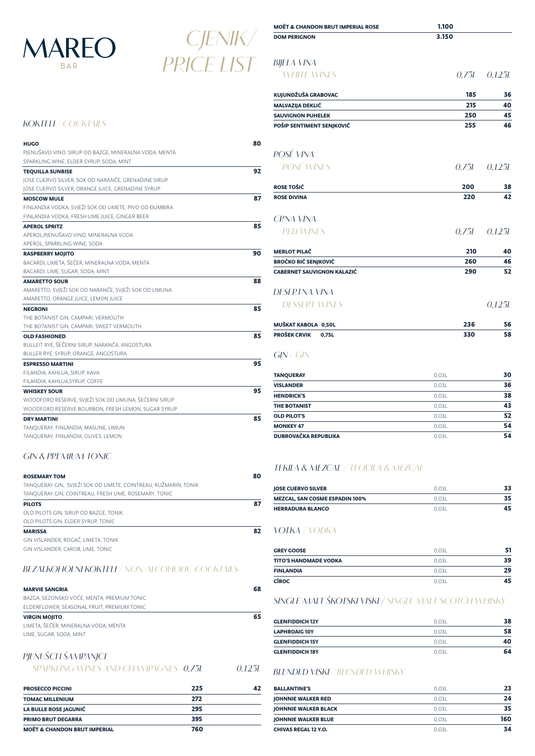| <b>MOËT &amp; CHANDON BRUT IMPERIAL ROSE</b> | 1.100 |                  |
|----------------------------------------------|-------|------------------|
| <b>DOM PERIGNON</b>                          | 3.150 |                  |
| BIJELA VINA                                  |       |                  |
| <b>WHITE WINES</b>                           |       | $0,75L$ $0,125L$ |
| KUJUNDŽUŠA GRABOVAC                          | 185   | 36               |
| <b>MALVAZIJA DEKLIĆ</b>                      | 215   | 40               |
| <b>SAUVIGNON PUHELEK</b>                     | 250   | 45               |
| POŠIP SENTIMENT SENJKOVIĆ                    | 255   | 46               |
| ROSÉ VINA                                    |       |                  |
| <b>ROSÉ WINES</b>                            |       | $0,75L$ $0,125L$ |
| <b>ROSE TOŠIĆ</b>                            | 200   | 38               |
| <b>ROSE DIVINA</b>                           | 220   | 42               |
| <b>CRNA VINA</b>                             |       |                  |
| <b>RED WINES</b>                             |       | $0,75L$ $0,125L$ |
| <b>MERLOT PILAČ</b>                          | 210   | 40               |
| <b>BROČKO RIČ SENJKOVIĆ</b>                  | 260   | 46               |
| <b>CABERNET SAUVIGNON KALAZIĆ</b>            | 290   | 52               |
| DESERTNA VINA                                |       |                  |
| <b>DESSERT WINES</b>                         |       | 0,125L           |
| MUŠKAT KABOLA 0,50L                          | 236   | 56               |
| <b>PROŠEK CRVIK</b><br>0,75L                 | 330   | 58               |
| GN / GN                                      |       |                  |

#### TANQUERAY **30** VISLANDER 0,03L 36 **HENDRICK'S** 0,03L 38 THE BOTANIST **43** OLD PILOT'S S2 GOD SERVER THE SERVER ON A SERVER SERVER THE SERVER ON A SERVER SERVER SERVER THE SERVER OF SERVER SERVER SERVER SERVER SERVER SERVER SERVER SERVER SERVER SERVER SERVER SERVER SERVER SERVER SERVER SERVER SER MONKEY 47 0,03L 54 DUBROVAČKA REPUBLIKA **1999 U SAMOVAČKA REPUBLIKA 0,03L** 54

# **TEKILA & MEZCAL / TEQUILA & MEZCAL**

| <b>IOSE CUERVO SILVER</b>             | 0.03L | 33 |
|---------------------------------------|-------|----|
| <b>MEZCAL, SAN COSME ESPADIN 100%</b> | 0.03L | 35 |
| <b>HERRADURA BLANCO</b>               | 0.031 | 45 |

# **VOTKA / VODKA**

| <b>GREY GOOSE</b>     | 0.03L | 51 |
|-----------------------|-------|----|
| TITO'S HANDMADE VODKA | 0.03L | 39 |
| <b>FINLANDIA</b>      | 0.03L | 29 |
| <b>CÎROC</b>          | 0.03L | 45 |
|                       |       |    |

| <b>DEL IENVITOLI INTIONI ELI</b> / TIOTI / IEGOTIOLIG GO GNI/ IILO |  |
|--------------------------------------------------------------------|--|
|--------------------------------------------------------------------|--|

# **SINGLE MALT ŠKOTSKI VISKI / SINGLE MALT SCOTCH WHISKY**

| <b>GLENFIDDICH 12Y</b> | 0.03L | 38 |
|------------------------|-------|----|
| <b>LAPHROAIG 10Y</b>   | 0.03L | 58 |
| <b>GLENFIDDICH 15Y</b> | 0.03L | 40 |
| <b>GLENFIDDICH 18Y</b> | 0.03L | 64 |

**BLENDED VISKI / BLENDED WHISKY**

| <b>BALLANTINE'S</b>         | 0.03L | 23  |
|-----------------------------|-------|-----|
| <b>JOHNNIE WALKER RED</b>   | 0.03L | 24  |
| <b>JOHNNIE WALKER BLACK</b> | 0.03L | 35  |
| <b>JOHNNIE WALKER BLUE</b>  | 0.03L | 160 |
| <b>CHIVAS REGAL 12 Y.O.</b> | 0.03L | 34  |

| KOKTELI / COCKTAILS |  |
|---------------------|--|

| <b>HUGO</b>                                            | 80 |
|--------------------------------------------------------|----|
| PJENUŠAVO VINO, SIRUP OD BAZGE, MINERALNA VODA, MENTA  |    |
| SPARKLING WINE, ELDER SYRUP, SODA, MINT                |    |
| <b>TEQUILLA SUNRISE</b>                                | 92 |
| JOSE CUERVO SILVER, SOK OD NARANČE, GRENADINE SIRUP    |    |
| JOSE CUERVO SILVER, ORANGE JUICE, GRENADINE SYRUP      |    |
| <b>MOSCOW MULE</b>                                     | 87 |
| FINLANDIA VODKA, SVJEŽI SOK OD LIMETE, PIVO OD ĐUMBIRA |    |
| FINLANDIA VODKA, FRESH LIME JUICE, GINGER BEER         |    |
| <b>APEROL SPRITZ</b>                                   | 85 |
| APEROL,PJENUŠAVO VINO, MINERALNA VODA                  |    |
| APEROL, SPARKLING WINE, SODA                           |    |
| <b>RASPBERRY MOJITO</b>                                | 90 |
| BACARDI, LIMETA, ŠEČER, MINERALNA VODA, MENTA          |    |
| BACARDI, LIME, SUGAR, SODA, MINT                       |    |
| <b>AMARETTO SOUR</b>                                   | 88 |
| AMARETTO, SVJEŽI SOK OD NARANČE, SVJEŽI SOK OD LIMUNA  |    |
| AMARETTO, ORANGE JUICE, LEMON JUICE                    |    |
| <b>NEGRONI</b>                                         | 85 |
| THE BOTANIST GIN, CAMPARI, VERMOUTH                    |    |
| THE BOTANIST GIN, CAMPARI, SWEET VERMOUTH              |    |
| <b>OLD FASHIONED</b>                                   | 85 |
| BULLEIT RYE, ŠEČERNI SIRUP, NARANČA, ANGOSTURA         |    |
| BULLER RYE, SYRUP, ORANGE, ANGOSTURA                   |    |
| <b>ESPRESSO MARTINI</b>                                | 95 |
| FILANDIA, KAHLUA, SIRUP, KAVA                          |    |
| FILANDIA, KAHLUA, SYRUP, COFFE                         |    |
| <b>WHISKEY SOUR</b>                                    | 95 |
| WOODFORD RESERVE, SVJEŽI SOK OD LIMUNA, ŠEĆERNI SIRUP  |    |
| WOODFORD RESERVE BOURBON, FRESH LEMON, SUGAR SYRUP     |    |
| <b>DRY MARTINI</b>                                     | 85 |
| TANQUERAY, FINLANDIA, MASLINE, LIMUN                   |    |
| TANQUERAY, FINLANDIA, OLIVES, LEMON                    |    |

# **GIN & PREMIUM TONIC**

| <b>ROSEMARY TOM</b>                                             | 80 |
|-----------------------------------------------------------------|----|
| TANQUERAY GIN, SVJEŽI SOK OD LIMETE, COINTREAU, RUŽMARIN, TONIK |    |
| TANQUERAY GIN, COINTREAU, FRESH LIME, ROSEMARY, TONIC           |    |
| <b>PILOTS</b>                                                   | 87 |
| OLD PILOTS GIN, SIRUP OD BAZGE, TONIK                           |    |
| OLD PILOTS GIN, ELDER SYRUP, TONIC                              |    |
| <b>MARISSA</b>                                                  | 82 |
| GIN VISLANDER, ROGAČ, LIMETA, TONIK                             |    |
| GIN VISLANDER, CAROB, LIME, TONIC                               |    |

#### **BEZALKOHOLNI KOKTELI / NON-ALCOHOLIC COCKTAILS**

BAZGA, SEZONSKO VOĆE, MENTA, PREMIUM TONIC ELDERFLOWER, SEASONAL FRUIT, PREMIUM TONIC

| <b>VIRGIN MOJITO</b>                 | 65 |
|--------------------------------------|----|
| LIMETA, ŠEČER, MINERALNA VODA, MENTA |    |
| LIME, SUGAR, SODA, MINT              |    |
|                                      |    |
| PJENUŠCH ŠAMPANJCH                   |    |

**SPARKLING WINES AND CHAMPAGNES 0,75L 0,125L**

| <b>PROSECCO PICCINI</b>                 | 225 |  |
|-----------------------------------------|-----|--|
| <b>TOMAC MILLENIUM</b>                  | 272 |  |
| <b>LA BULLE ROSE JAGUNIĆ</b>            | 295 |  |
| <b>PRIMO BRUT DEGARRA</b>               | 395 |  |
| <b>MOËT &amp; CHANDON BRUT IMPERIAL</b> | 760 |  |



# **CJENIK/ PRICE LIST**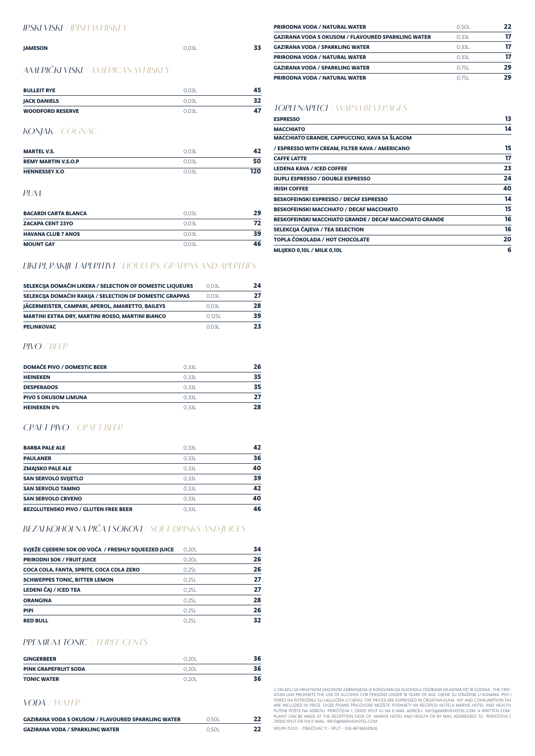| <b>PRIRODNA VODA / NATURAL WATER</b>                      | 0.50L | 22 |
|-----------------------------------------------------------|-------|----|
| <b>GAZIRANA VODA S OKUSOM / FLAVOURED SPARKLING WATER</b> | 0.33L | 17 |
| <b>GAZIRANA VODA / SPARKLING WATER</b>                    | 0.33L | 17 |
| <b>PRIRODNA VODA / NATURAL WATER</b>                      | 0.33L | 17 |
| <b>GAZIRANA VODA / SPARKLING WATER</b>                    | 0.75L | 29 |
| <b>PRIRODNA VODA / NATURAL WATER</b>                      | 0.75L | 29 |

# **TOPLI NAPITCI / WARM BEVERAGES**

| <b>ESPRESSO</b>                                        | 13 |
|--------------------------------------------------------|----|
| <b>MACCHIATO</b>                                       | 14 |
| MACCHIATO GRANDE, CAPPUCCINO, KAVA SA ŠLAGOM           |    |
| / ESPRESSO WITH CREAM, FILTER KAVA / AMERICANO         | 15 |
| <b>CAFFE LATTE</b>                                     | 17 |
| <b>LEDENA KAVA / ICED COFFEE</b>                       | 23 |
| <b>DUPLI ESPRESSO / DOUBLE ESPRESSO</b>                | 24 |
| <b>IRISH COFFEE</b>                                    | 40 |
| <b>BESKOFEINSKI ESPRESSO / DECAF ESPRESSO</b>          | 14 |
| BESKOFEINSKI MACCHIATO / DECAF MACCHIATO               | 15 |
| BESKOFEINSKI MACCHIATO GRANDE / DECAF MACCHIATO GRANDE | 16 |
| SELEKCIJA ČAJEVA / TEA SELECTION                       | 16 |
| TOPLA ČOKOLADA / HOT CHOCOLATE                         | 20 |
| MLIJEKO 0,10L / MILK 0,10L                             | 6  |

### **IRSKI VISKI / IRISH WHISKEY**

| <b>JAMESON</b>                           | 0.03L | 33 |
|------------------------------------------|-------|----|
| <b>AMERIČKI VISKI / AMERICAN WHISKEY</b> |       |    |

| <b>BULLEIT RYE</b>      | 0.03L | 45 |
|-------------------------|-------|----|
| <b>JACK DANIELS</b>     | 0.03L | 32 |
| <b>WOODFORD RESERVE</b> | 0.03L | 47 |

# **KONJAK / COGNAC**

| <b>MARTEL V.S.</b>          | 0.03L |     |
|-----------------------------|-------|-----|
| <b>REMY MARTIN V.S.O.P.</b> | 0.03L | 50  |
| <b>HENNESSEY X.O.</b>       | 0.03L | 120 |

#### **RUM**

| <b>BACARDI CARTA BLANCA</b> | 0.03L | 29 |
|-----------------------------|-------|----|
| <b>ZACAPA CENT 23YO</b>     | 0.03L |    |
| <b>HAVANA CLUB 7 ANOS</b>   | 0.03L | 39 |
| <b>MOUNT GAY</b>            | 0.03L | 46 |

# **LIKERI, RAKIJE I APERITIVI / LIQUEURS, GRAPPAS AND APERITIFS**

| SELEKCIJA DOMAĆIH LIKERA / SELECTION OF DOMESTIC LIQUEURS | 0.03L  | 24 |
|-----------------------------------------------------------|--------|----|
| SELEKCIJA DOMAĆIH RAKIJA / SELECTION OF DOMESTIC GRAPPAS  | 0.03L  | 27 |
| JÄGERMEISTER, CAMPARI, APEROL, AMARETTO, BAILEYS          | 0.03L  | 28 |
| <b>MARTINI EXTRA DRY, MARTINI ROSSO, MARTINI BIANCO</b>   | O.125L | 39 |
| <b>PELINKOVAC</b>                                         | 0.03L  | 23 |

# **PIVO / BEER**

| <b>DOMAĆE PIVO / DOMESTIC BEER</b> | 0.33L | 26 |
|------------------------------------|-------|----|
| <b>HEINEKEN</b>                    | 0.33L | 35 |
| <b>DESPERADOS</b>                  | 0.33L | 35 |
| <b>PIVO S OKUSOM LIMUNA</b>        | 0.33L | 77 |
| <b>HEINEKEN 0%</b>                 | 0.33L | 28 |

# **CRAFT PIVO / CRAFT BEER**

| <b>BARBA PALE ALE</b>                       | 0.33L | 42 |
|---------------------------------------------|-------|----|
| <b>PAULANER</b>                             | 0.33L | 36 |
| <b>ZMAJSKO PALE ALE</b>                     | 0.33L | 40 |
| <b>SAN SERVOLO SVIJETLO</b>                 | 0.33L | 39 |
| <b>SAN SERVOLO TAMNO</b>                    | 0.33L | 42 |
| <b>SAN SERVOLO CRVENO</b>                   | 0.33L | 40 |
| <b>BEZGLUTENSKO PIVO / GLUTEN FREE BEER</b> | 0.33L | 46 |

# **BEZALKOHOLNA PIĆA I SOKOVI / SOFT DRINKS AND JUICES**

| SVJEŽE CIJEĐENI SOK OD VOĆA / FRESHLY SQUEEZED JUICE | 0.20L | 34 |
|------------------------------------------------------|-------|----|
| <b>PRIRODNI SOK / FRUIT JUICE</b>                    | 0,20L | 26 |
| COCA COLA, FANTA, SPRITE, COCA COLA ZERO             | 0.25L | 26 |
| <b>SCHWEPPES TONIC, BITTER LEMON</b>                 | 0.25L | 27 |
| <b>LEDENI ČAJ / ICED TEA</b>                         | 0.25L | 27 |
| <b>ORANGINA</b>                                      | 0.25L | 28 |
| <b>PIPI</b>                                          | 0.25L | 26 |
| <b>RED BULL</b>                                      | 0.25L | 32 |

#### **PREMIUM TONIC / THREE CENTS**

| <b>GINGERBEER</b>           | 0.20L | 36 |
|-----------------------------|-------|----|
| <b>PINK GRAPEFRUIT SODA</b> | 0.20L | 36 |
| <b>TONIC WATER</b>          | 0.20L | 36 |

#### **VODA / WATER**

| <b>GAZIRANA VODA S OKUSOM / FLAVOURED SPARKLING WATER</b> | 0.50L | 22 |
|-----------------------------------------------------------|-------|----|
| <b>GAZIRANA VODA / SPARKLING WATER</b>                    | 0.50L | 22 |

U SKLADU SA HRVATSKIM ZAKONOM ZABRANJENA JE KONZUMACIJA ALKOHOLA OSOBAMA MLAĐIMA OD 18 GODINA. THE CRO-ATIAN LAW PROHIBITS THE USE OF ALCOHOL FOR PERSONS UNDER 18 YEARS OF AGE. CIJENE SU IZRAŽENE U KUNAMA. PDV I POREZ NA POTROŠNJU SU UKLJUČENI U CIJENU. THE PRICES ARE EXPRESSED IN CROATIAN KUNA. VAT AND CONSUMPTION TAX ARE INCLUDED IN PRICE. SVOJE PISANE PRIGOVORE MOŽETE PODNIJETI NA RECEPCIJI HOTELA MARVIE HOTEL AND HEALTH, PUTEM POŠTE NA ADRESU: PERIČIĆEVA 1, 21000 SPLIT ILI NA E-MAIL ADRESU: INFO@MARVIEHOTEL.COM. A WRITTEN COM-PLAINT CAN BE MADE AT THE RECEPTION DESK OF MARVIE HOTEL AND HEALTH OR BY MAIL ADDRESSED TO PERIČIĆEVA 1, 21000 SPLIT OR VIA E-MAIL: INFO@MARIVEHOTEL.COM.

KRUPA D.O.O. - DRAČEVAC 11 - SPLIT - OIB 46746041826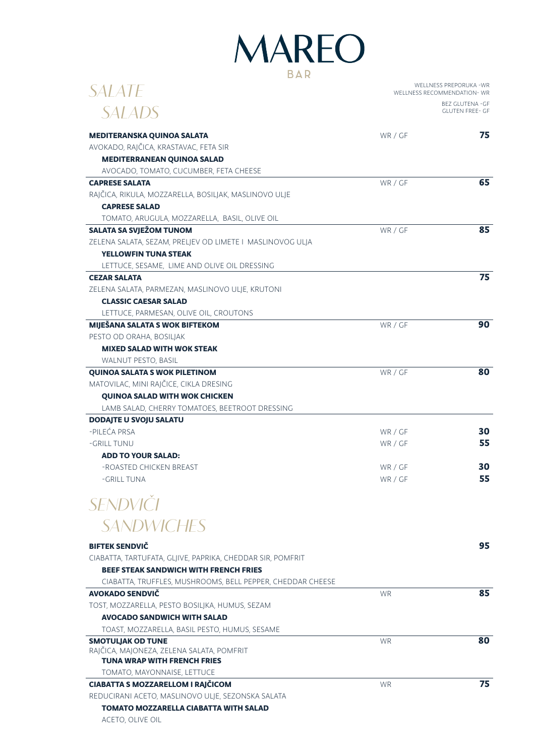# **MAREO BAR**

| <i>SALATE</i>                                              | WELLNESS PREPORUKA - WR<br>WELLNESS RECOMMENDATION-WR |                        |
|------------------------------------------------------------|-------------------------------------------------------|------------------------|
|                                                            | BEZ GLUTENA - GF                                      |                        |
| <i>SALADS</i>                                              |                                                       | <b>GLUTEN FREE- GF</b> |
| MEDITERANSKA QUINOA SALATA                                 | WR / GF                                               | 75                     |
| AVOKADO, RAJČICA, KRASTAVAC, FETA SIR                      |                                                       |                        |
| <b>MEDITERRANEAN QUINOA SALAD</b>                          |                                                       |                        |
| AVOCADO, TOMATO, CUCUMBER, FETA CHEESE                     |                                                       |                        |
| <b>CAPRESE SALATA</b>                                      | WR / GF                                               | 65                     |
| RAJČICA, RIKULA, MOZZARELLA, BOSILJAK, MASLINOVO ULJE      |                                                       |                        |
| <b>CAPRESE SALAD</b>                                       |                                                       |                        |
| TOMATO, ARUGULA, MOZZARELLA, BASIL, OLIVE OIL              |                                                       |                        |
| <b>SALATA SA SVJEŽOM TUNOM</b>                             | WR / GF                                               | 85                     |
| ZELENA SALATA, SEZAM, PRELJEV OD LIMETE I MASLINOVOG ULJA  |                                                       |                        |
| <b>YELLOWFIN TUNA STEAK</b>                                |                                                       |                        |
| LETTUCE, SESAME, LIME AND OLIVE OIL DRESSING               |                                                       |                        |
| <b>CEZAR SALATA</b>                                        |                                                       | 75                     |
| ZELENA SALATA, PARMEZAN, MASLINOVO ULJE, KRUTONI           |                                                       |                        |
| <b>CLASSIC CAESAR SALAD</b>                                |                                                       |                        |
| LETTUCE, PARMESAN, OLIVE OIL, CROUTONS                     |                                                       |                        |
| MIJEŠANA SALATA S WOK BIFTEKOM                             | WR / GF                                               | 90                     |
| PESTO OD ORAHA, BOSILJAK                                   |                                                       |                        |
| <b>MIXED SALAD WITH WOK STEAK</b>                          |                                                       |                        |
| WALNUT PESTO, BASIL                                        |                                                       |                        |
| <b>QUINOA SALATA S WOK PILETINOM</b>                       | WR / GF                                               | 80                     |
| MATOVILAC, MINI RAJČICE, CIKLA DRESING                     |                                                       |                        |
| <b>QUINOA SALAD WITH WOK CHICKEN</b>                       |                                                       |                        |
| LAMB SALAD, CHERRY TOMATOES, BEETROOT DRESSING             |                                                       |                        |
| <b>DODAJTE U SVOJU SALATU</b>                              |                                                       |                        |
| -PILEĆA PRSA                                               | WR / GF                                               | 30                     |
| -GRILL TUNU                                                | WR / GF                                               | 55                     |
| <b>ADD TO YOUR SALAD:</b>                                  |                                                       |                        |
| -ROASTED CHICKEN BREAST                                    | WR / GF                                               | 30                     |
| -GRILL TUNA                                                | WR / GF                                               | 55                     |
|                                                            |                                                       |                        |
| SENDVIČI                                                   |                                                       |                        |
|                                                            |                                                       |                        |
| <b>SANDWICHES</b>                                          |                                                       |                        |
| <b>BIFTEK SENDVIČ</b>                                      |                                                       | 95                     |
| CIABATTA, TARTUFATA, GLJIVE, PAPRIKA, CHEDDAR SIR, POMFRIT |                                                       |                        |
| <b>BEEF STEAK SANDWICH WITH FRENCH FRIES</b>               |                                                       |                        |
| CIABATTA, TRUFFLES, MUSHROOMS, BELL PEPPER, CHEDDAR CHEESE |                                                       |                        |
| AVOKADO SENDVIČ                                            | <b>WR</b>                                             | 85                     |
| TOST, MOZZARELLA, PESTO BOSILJKA, HUMUS, SEZAM             |                                                       |                        |
| <b>AVOCADO SANDWICH WITH SALAD</b>                         |                                                       |                        |
| TOAST, MOZZARELLA, BASIL PESTO, HUMUS, SESAME              |                                                       |                        |
| <b>SMOTULIAK OD TUNE</b>                                   | <b>WR</b>                                             | 80                     |
| RAJČICA, MAJONEZA, ZELENA SALATA, POMFRIT                  |                                                       |                        |
| <b>TUNA WRAP WITH FRENCH FRIES</b>                         |                                                       |                        |
| TOMATO, MAYONNAISE, LETTUCE                                |                                                       |                        |
| <b>CIABATTA S MOZZARELLOM I RAJČICOM</b>                   | <b>WR</b>                                             | 75                     |
| REDUCIRANI ACETO, MASLINOVO ULJE, SEZONSKA SALATA          |                                                       |                        |
| <b>TOMATO MOZZARELLA CIABATTA WITH SALAD</b>               |                                                       |                        |

ACETO, OLIVE OIL